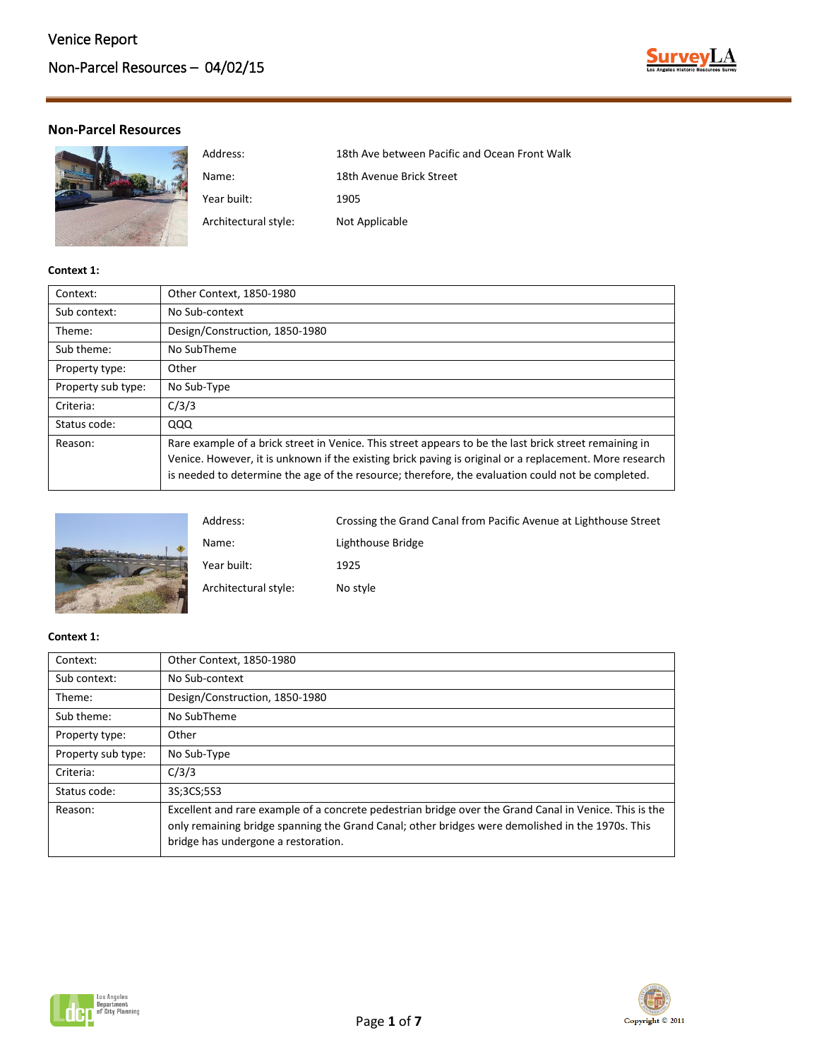

# **Non-Parcel Resources**

| Address:             | 18th Ave between Pacific and Ocean Front Walk |
|----------------------|-----------------------------------------------|
| Name:                | 18th Avenue Brick Street                      |
| Year built:          | 1905                                          |
| Architectural style: | Not Applicable                                |

## **Context 1:**

| Context:           | Other Context, 1850-1980                                                                                                                                                                                                                                                                                               |
|--------------------|------------------------------------------------------------------------------------------------------------------------------------------------------------------------------------------------------------------------------------------------------------------------------------------------------------------------|
| Sub context:       | No Sub-context                                                                                                                                                                                                                                                                                                         |
| Theme:             | Design/Construction, 1850-1980                                                                                                                                                                                                                                                                                         |
| Sub theme:         | No SubTheme                                                                                                                                                                                                                                                                                                            |
| Property type:     | Other                                                                                                                                                                                                                                                                                                                  |
| Property sub type: | No Sub-Type                                                                                                                                                                                                                                                                                                            |
| Criteria:          | C/3/3                                                                                                                                                                                                                                                                                                                  |
| Status code:       | QQQ                                                                                                                                                                                                                                                                                                                    |
| Reason:            | Rare example of a brick street in Venice. This street appears to be the last brick street remaining in<br>Venice. However, it is unknown if the existing brick paving is original or a replacement. More research<br>is needed to determine the age of the resource; therefore, the evaluation could not be completed. |



| Address:             | Crossing the Grand Canal from Pacific Avenue at Lighthouse Street |
|----------------------|-------------------------------------------------------------------|
| Name:                | Lighthouse Bridge                                                 |
| Year built:          | 1925                                                              |
| Architectural style: | No style                                                          |

| Context:           | Other Context, 1850-1980                                                                                                                                                                                                                          |
|--------------------|---------------------------------------------------------------------------------------------------------------------------------------------------------------------------------------------------------------------------------------------------|
| Sub context:       | No Sub-context                                                                                                                                                                                                                                    |
| Theme:             | Design/Construction, 1850-1980                                                                                                                                                                                                                    |
| Sub theme:         | No SubTheme                                                                                                                                                                                                                                       |
| Property type:     | Other                                                                                                                                                                                                                                             |
| Property sub type: | No Sub-Type                                                                                                                                                                                                                                       |
| Criteria:          | C/3/3                                                                                                                                                                                                                                             |
| Status code:       | 3S;3CS;5S3                                                                                                                                                                                                                                        |
| Reason:            | Excellent and rare example of a concrete pedestrian bridge over the Grand Canal in Venice. This is the<br>only remaining bridge spanning the Grand Canal; other bridges were demolished in the 1970s. This<br>bridge has undergone a restoration. |



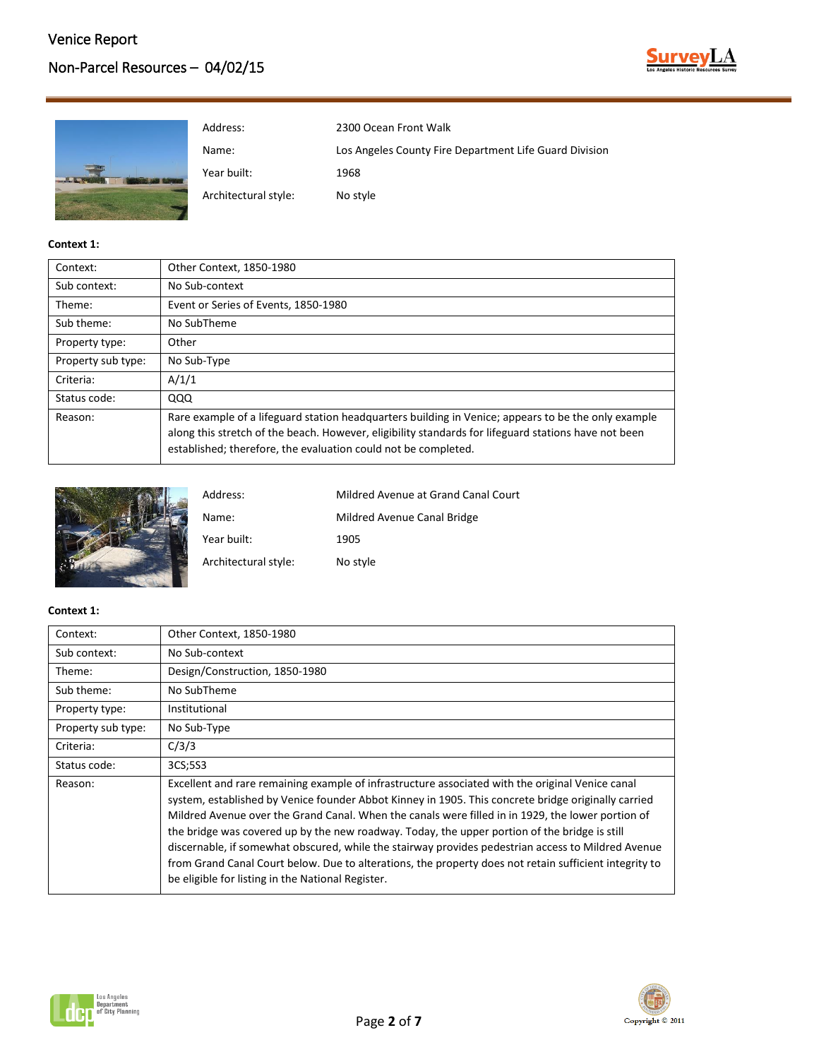# Non-Parcel Resources – 04/02/15





## **Context 1:**

| Context:           | Other Context, 1850-1980                                                                                                                                                                                                                                                      |
|--------------------|-------------------------------------------------------------------------------------------------------------------------------------------------------------------------------------------------------------------------------------------------------------------------------|
| Sub context:       | No Sub-context                                                                                                                                                                                                                                                                |
| Theme:             | Event or Series of Events, 1850-1980                                                                                                                                                                                                                                          |
| Sub theme:         | No SubTheme                                                                                                                                                                                                                                                                   |
| Property type:     | Other                                                                                                                                                                                                                                                                         |
| Property sub type: | No Sub-Type                                                                                                                                                                                                                                                                   |
| Criteria:          | A/1/1                                                                                                                                                                                                                                                                         |
| Status code:       | QQQ                                                                                                                                                                                                                                                                           |
| Reason:            | Rare example of a lifeguard station headquarters building in Venice; appears to be the only example<br>along this stretch of the beach. However, eligibility standards for lifeguard stations have not been<br>established; therefore, the evaluation could not be completed. |



| Address:             | Mildred Avenue at Grand Canal Court |
|----------------------|-------------------------------------|
| Name:                | Mildred Avenue Canal Bridge         |
| Year built:          | 1905                                |
| Architectural style: | No style                            |

| Context:           | Other Context, 1850-1980                                                                                                                                                                                                                                                                                                                                                                                                                                                                                                                                                                                                                                                           |
|--------------------|------------------------------------------------------------------------------------------------------------------------------------------------------------------------------------------------------------------------------------------------------------------------------------------------------------------------------------------------------------------------------------------------------------------------------------------------------------------------------------------------------------------------------------------------------------------------------------------------------------------------------------------------------------------------------------|
| Sub context:       | No Sub-context                                                                                                                                                                                                                                                                                                                                                                                                                                                                                                                                                                                                                                                                     |
| Theme:             | Design/Construction, 1850-1980                                                                                                                                                                                                                                                                                                                                                                                                                                                                                                                                                                                                                                                     |
| Sub theme:         | No SubTheme                                                                                                                                                                                                                                                                                                                                                                                                                                                                                                                                                                                                                                                                        |
| Property type:     | Institutional                                                                                                                                                                                                                                                                                                                                                                                                                                                                                                                                                                                                                                                                      |
| Property sub type: | No Sub-Type                                                                                                                                                                                                                                                                                                                                                                                                                                                                                                                                                                                                                                                                        |
| Criteria:          | C/3/3                                                                                                                                                                                                                                                                                                                                                                                                                                                                                                                                                                                                                                                                              |
| Status code:       | 3CS;5S3                                                                                                                                                                                                                                                                                                                                                                                                                                                                                                                                                                                                                                                                            |
| Reason:            | Excellent and rare remaining example of infrastructure associated with the original Venice canal<br>system, established by Venice founder Abbot Kinney in 1905. This concrete bridge originally carried<br>Mildred Avenue over the Grand Canal. When the canals were filled in in 1929, the lower portion of<br>the bridge was covered up by the new roadway. Today, the upper portion of the bridge is still<br>discernable, if somewhat obscured, while the stairway provides pedestrian access to Mildred Avenue<br>from Grand Canal Court below. Due to alterations, the property does not retain sufficient integrity to<br>be eligible for listing in the National Register. |



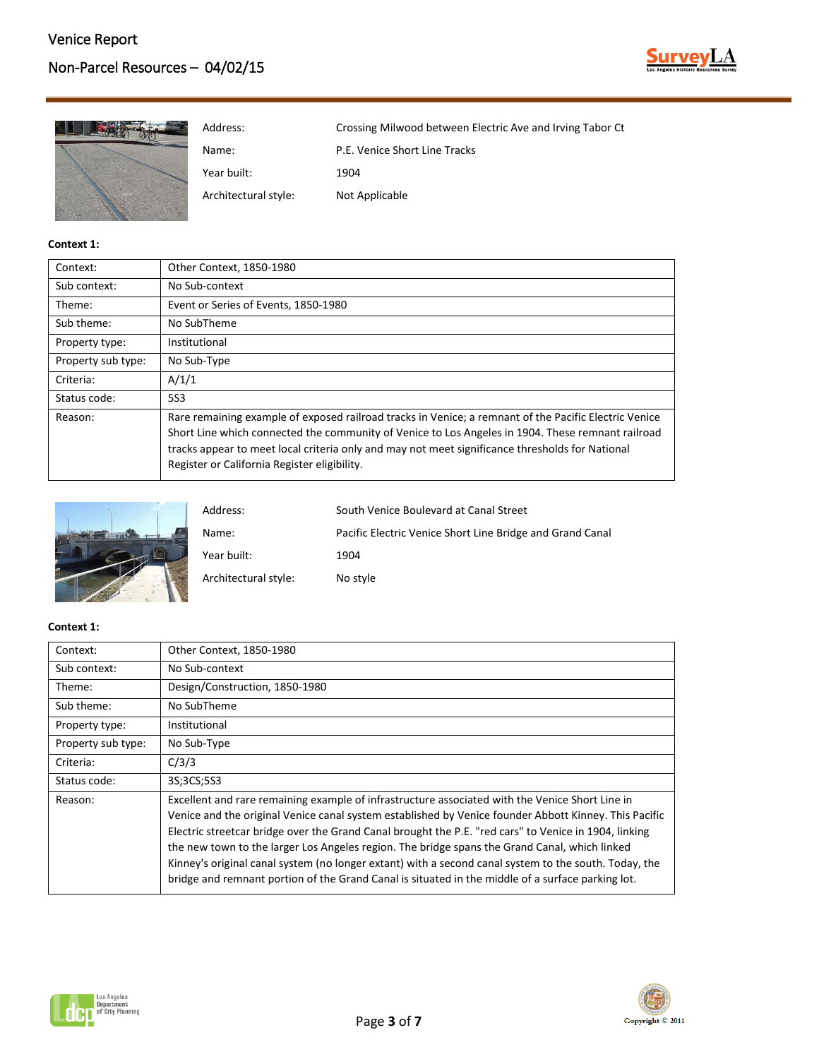

| Address:             | Crossing Milwood between Electric Ave and Irving Tabor Ct |
|----------------------|-----------------------------------------------------------|
| Name:                | P.E. Venice Short Line Tracks                             |
| Year built:          | 1904                                                      |
| Architectural style: | Not Applicable                                            |

| Context:           | Other Context, 1850-1980                                                                                                                                                                                                                                                                                                                                      |
|--------------------|---------------------------------------------------------------------------------------------------------------------------------------------------------------------------------------------------------------------------------------------------------------------------------------------------------------------------------------------------------------|
| Sub context:       | No Sub-context                                                                                                                                                                                                                                                                                                                                                |
| Theme:             | Event or Series of Events, 1850-1980                                                                                                                                                                                                                                                                                                                          |
| Sub theme:         | No SubTheme                                                                                                                                                                                                                                                                                                                                                   |
| Property type:     | Institutional                                                                                                                                                                                                                                                                                                                                                 |
| Property sub type: | No Sub-Type                                                                                                                                                                                                                                                                                                                                                   |
| Criteria:          | A/1/1                                                                                                                                                                                                                                                                                                                                                         |
| Status code:       | 5S3                                                                                                                                                                                                                                                                                                                                                           |
| Reason:            | Rare remaining example of exposed railroad tracks in Venice; a remnant of the Pacific Electric Venice<br>Short Line which connected the community of Venice to Los Angeles in 1904. These remnant railroad<br>tracks appear to meet local criteria only and may not meet significance thresholds for National<br>Register or California Register eligibility. |



| Address:             | South Venice Boulevard at Canal Street                    |
|----------------------|-----------------------------------------------------------|
| Name:                | Pacific Electric Venice Short Line Bridge and Grand Canal |
| Year built:          | 1904                                                      |
| Architectural style: | No style                                                  |

| Context:           | Other Context, 1850-1980                                                                                                                                                                                                                                                                                                                                                                                                                                                                                                                                                                                                         |
|--------------------|----------------------------------------------------------------------------------------------------------------------------------------------------------------------------------------------------------------------------------------------------------------------------------------------------------------------------------------------------------------------------------------------------------------------------------------------------------------------------------------------------------------------------------------------------------------------------------------------------------------------------------|
| Sub context:       | No Sub-context                                                                                                                                                                                                                                                                                                                                                                                                                                                                                                                                                                                                                   |
| Theme:             | Design/Construction, 1850-1980                                                                                                                                                                                                                                                                                                                                                                                                                                                                                                                                                                                                   |
| Sub theme:         | No SubTheme                                                                                                                                                                                                                                                                                                                                                                                                                                                                                                                                                                                                                      |
| Property type:     | Institutional                                                                                                                                                                                                                                                                                                                                                                                                                                                                                                                                                                                                                    |
| Property sub type: | No Sub-Type                                                                                                                                                                                                                                                                                                                                                                                                                                                                                                                                                                                                                      |
| Criteria:          | C/3/3                                                                                                                                                                                                                                                                                                                                                                                                                                                                                                                                                                                                                            |
| Status code:       | 3S:3CS:5S3                                                                                                                                                                                                                                                                                                                                                                                                                                                                                                                                                                                                                       |
| Reason:            | Excellent and rare remaining example of infrastructure associated with the Venice Short Line in<br>Venice and the original Venice canal system established by Venice founder Abbott Kinney. This Pacific<br>Electric streetcar bridge over the Grand Canal brought the P.E. "red cars" to Venice in 1904, linking<br>the new town to the larger Los Angeles region. The bridge spans the Grand Canal, which linked<br>Kinney's original canal system (no longer extant) with a second canal system to the south. Today, the<br>bridge and remnant portion of the Grand Canal is situated in the middle of a surface parking lot. |



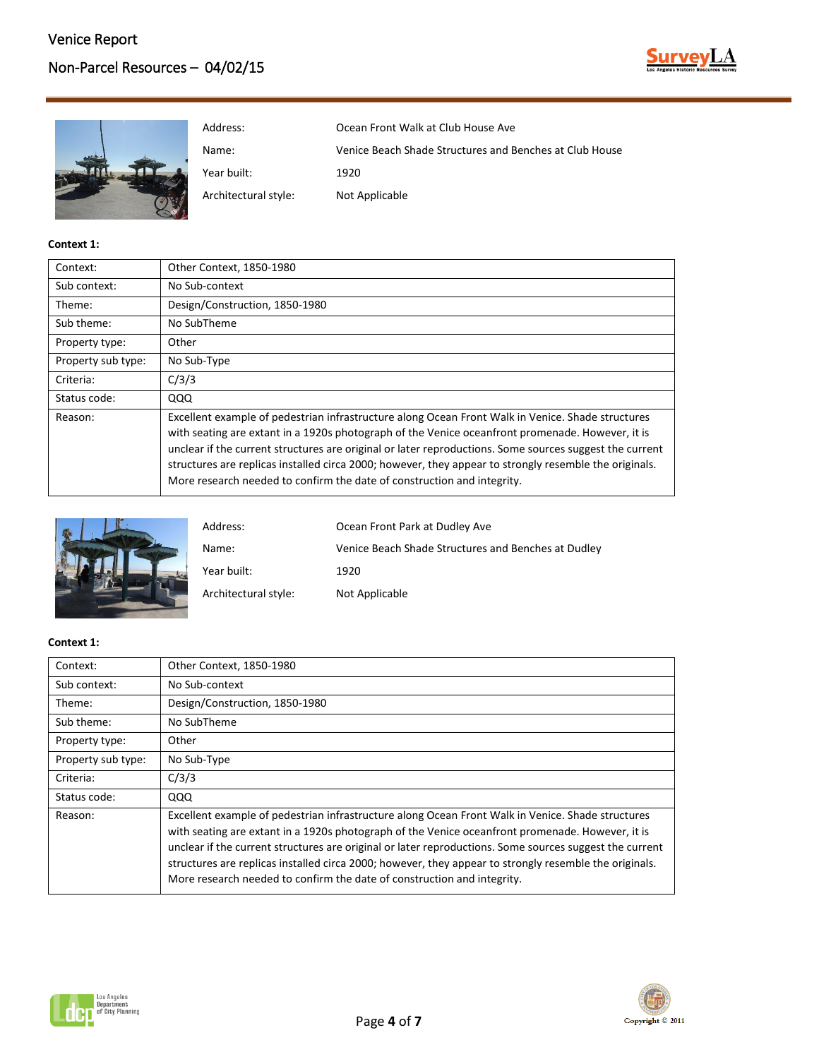



| Context:           | Other Context, 1850-1980                                                                                                                                                                                                                                                                                                                                                                                                                                                                              |
|--------------------|-------------------------------------------------------------------------------------------------------------------------------------------------------------------------------------------------------------------------------------------------------------------------------------------------------------------------------------------------------------------------------------------------------------------------------------------------------------------------------------------------------|
| Sub context:       | No Sub-context                                                                                                                                                                                                                                                                                                                                                                                                                                                                                        |
| Theme:             | Design/Construction, 1850-1980                                                                                                                                                                                                                                                                                                                                                                                                                                                                        |
| Sub theme:         | No SubTheme                                                                                                                                                                                                                                                                                                                                                                                                                                                                                           |
| Property type:     | Other                                                                                                                                                                                                                                                                                                                                                                                                                                                                                                 |
| Property sub type: | No Sub-Type                                                                                                                                                                                                                                                                                                                                                                                                                                                                                           |
| Criteria:          | C/3/3                                                                                                                                                                                                                                                                                                                                                                                                                                                                                                 |
| Status code:       | QQQ                                                                                                                                                                                                                                                                                                                                                                                                                                                                                                   |
| Reason:            | Excellent example of pedestrian infrastructure along Ocean Front Walk in Venice. Shade structures<br>with seating are extant in a 1920s photograph of the Venice oceanfront promenade. However, it is<br>unclear if the current structures are original or later reproductions. Some sources suggest the current<br>structures are replicas installed circa 2000; however, they appear to strongly resemble the originals.<br>More research needed to confirm the date of construction and integrity. |



| Address:             | Ocean Front Park at Dudley Ave                      |
|----------------------|-----------------------------------------------------|
| Name:                | Venice Beach Shade Structures and Benches at Dudley |
| Year built:          | 1920                                                |
| Architectural style: | Not Applicable                                      |

| Context:           | Other Context, 1850-1980                                                                                                                                                                                                                                                                                                                                                                                                                                                                              |
|--------------------|-------------------------------------------------------------------------------------------------------------------------------------------------------------------------------------------------------------------------------------------------------------------------------------------------------------------------------------------------------------------------------------------------------------------------------------------------------------------------------------------------------|
| Sub context:       | No Sub-context                                                                                                                                                                                                                                                                                                                                                                                                                                                                                        |
| Theme:             | Design/Construction, 1850-1980                                                                                                                                                                                                                                                                                                                                                                                                                                                                        |
| Sub theme:         | No SubTheme                                                                                                                                                                                                                                                                                                                                                                                                                                                                                           |
| Property type:     | Other                                                                                                                                                                                                                                                                                                                                                                                                                                                                                                 |
| Property sub type: | No Sub-Type                                                                                                                                                                                                                                                                                                                                                                                                                                                                                           |
| Criteria:          | C/3/3                                                                                                                                                                                                                                                                                                                                                                                                                                                                                                 |
| Status code:       | QQQ                                                                                                                                                                                                                                                                                                                                                                                                                                                                                                   |
| Reason:            | Excellent example of pedestrian infrastructure along Ocean Front Walk in Venice. Shade structures<br>with seating are extant in a 1920s photograph of the Venice oceanfront promenade. However, it is<br>unclear if the current structures are original or later reproductions. Some sources suggest the current<br>structures are replicas installed circa 2000; however, they appear to strongly resemble the originals.<br>More research needed to confirm the date of construction and integrity. |



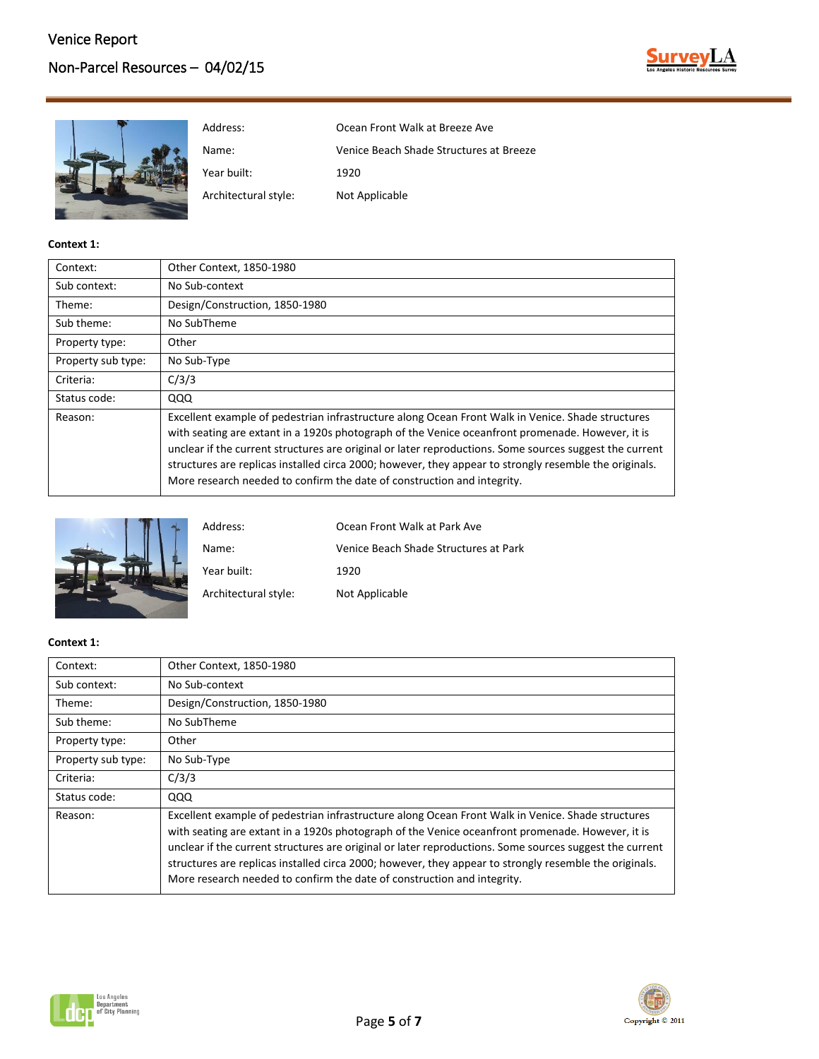



Address: Ocean Front Walk at Breeze Ave Name: Venice Beach Shade Structures at Breeze Year built: 1920

**Context 1:**

| Context:           | Other Context, 1850-1980                                                                                                                                                                                                                                                                                                                                                                                                                                                                              |
|--------------------|-------------------------------------------------------------------------------------------------------------------------------------------------------------------------------------------------------------------------------------------------------------------------------------------------------------------------------------------------------------------------------------------------------------------------------------------------------------------------------------------------------|
| Sub context:       | No Sub-context                                                                                                                                                                                                                                                                                                                                                                                                                                                                                        |
| Theme:             | Design/Construction, 1850-1980                                                                                                                                                                                                                                                                                                                                                                                                                                                                        |
| Sub theme:         | No SubTheme                                                                                                                                                                                                                                                                                                                                                                                                                                                                                           |
| Property type:     | Other                                                                                                                                                                                                                                                                                                                                                                                                                                                                                                 |
| Property sub type: | No Sub-Type                                                                                                                                                                                                                                                                                                                                                                                                                                                                                           |
| Criteria:          | C/3/3                                                                                                                                                                                                                                                                                                                                                                                                                                                                                                 |
| Status code:       | QQQ                                                                                                                                                                                                                                                                                                                                                                                                                                                                                                   |
| Reason:            | Excellent example of pedestrian infrastructure along Ocean Front Walk in Venice. Shade structures<br>with seating are extant in a 1920s photograph of the Venice oceanfront promenade. However, it is<br>unclear if the current structures are original or later reproductions. Some sources suggest the current<br>structures are replicas installed circa 2000; however, they appear to strongly resemble the originals.<br>More research needed to confirm the date of construction and integrity. |



| Address:             | Ocean Front Walk at Park Ave          |
|----------------------|---------------------------------------|
| Name:                | Venice Beach Shade Structures at Park |
| Year built:          | 1920                                  |
| Architectural style: | Not Applicable                        |

| Context:           | Other Context, 1850-1980                                                                                                                                                                                                                                                                                                                                                                                                                                                                              |
|--------------------|-------------------------------------------------------------------------------------------------------------------------------------------------------------------------------------------------------------------------------------------------------------------------------------------------------------------------------------------------------------------------------------------------------------------------------------------------------------------------------------------------------|
| Sub context:       | No Sub-context                                                                                                                                                                                                                                                                                                                                                                                                                                                                                        |
| Theme:             | Design/Construction, 1850-1980                                                                                                                                                                                                                                                                                                                                                                                                                                                                        |
| Sub theme:         | No SubTheme                                                                                                                                                                                                                                                                                                                                                                                                                                                                                           |
| Property type:     | Other                                                                                                                                                                                                                                                                                                                                                                                                                                                                                                 |
| Property sub type: | No Sub-Type                                                                                                                                                                                                                                                                                                                                                                                                                                                                                           |
| Criteria:          | C/3/3                                                                                                                                                                                                                                                                                                                                                                                                                                                                                                 |
| Status code:       | QQQ                                                                                                                                                                                                                                                                                                                                                                                                                                                                                                   |
| Reason:            | Excellent example of pedestrian infrastructure along Ocean Front Walk in Venice. Shade structures<br>with seating are extant in a 1920s photograph of the Venice oceanfront promenade. However, it is<br>unclear if the current structures are original or later reproductions. Some sources suggest the current<br>structures are replicas installed circa 2000; however, they appear to strongly resemble the originals.<br>More research needed to confirm the date of construction and integrity. |



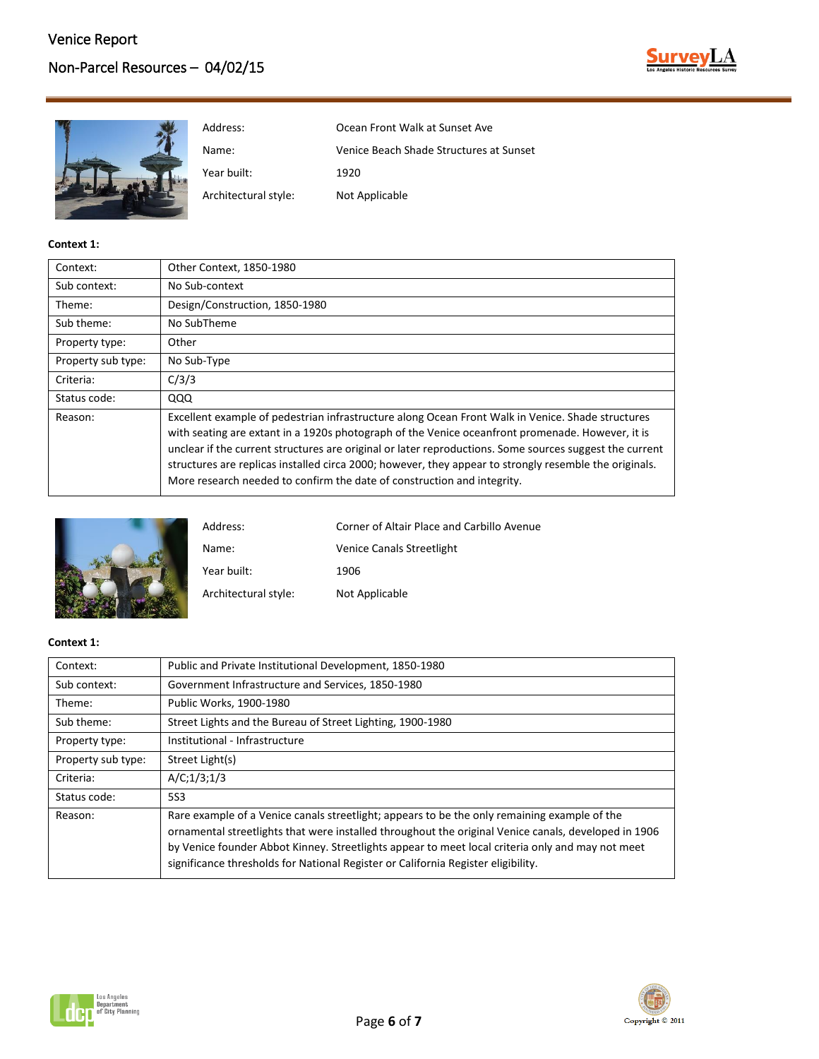



| Context:           | Other Context, 1850-1980                                                                                                                                                                                                                                                                                                                                                                                                                                                                              |
|--------------------|-------------------------------------------------------------------------------------------------------------------------------------------------------------------------------------------------------------------------------------------------------------------------------------------------------------------------------------------------------------------------------------------------------------------------------------------------------------------------------------------------------|
| Sub context:       | No Sub-context                                                                                                                                                                                                                                                                                                                                                                                                                                                                                        |
| Theme:             | Design/Construction, 1850-1980                                                                                                                                                                                                                                                                                                                                                                                                                                                                        |
| Sub theme:         | No SubTheme                                                                                                                                                                                                                                                                                                                                                                                                                                                                                           |
| Property type:     | Other                                                                                                                                                                                                                                                                                                                                                                                                                                                                                                 |
| Property sub type: | No Sub-Type                                                                                                                                                                                                                                                                                                                                                                                                                                                                                           |
| Criteria:          | C/3/3                                                                                                                                                                                                                                                                                                                                                                                                                                                                                                 |
| Status code:       | QQQ                                                                                                                                                                                                                                                                                                                                                                                                                                                                                                   |
| Reason:            | Excellent example of pedestrian infrastructure along Ocean Front Walk in Venice. Shade structures<br>with seating are extant in a 1920s photograph of the Venice oceanfront promenade. However, it is<br>unclear if the current structures are original or later reproductions. Some sources suggest the current<br>structures are replicas installed circa 2000; however, they appear to strongly resemble the originals.<br>More research needed to confirm the date of construction and integrity. |



| Address:             | Corner of Altair Place and Carbillo Avenue |
|----------------------|--------------------------------------------|
| Name:                | <b>Venice Canals Streetlight</b>           |
| Year built:          | 1906                                       |
| Architectural style: | Not Applicable                             |

| Context:           | Public and Private Institutional Development, 1850-1980                                                                                                                                                                                                                                                                                                                                       |
|--------------------|-----------------------------------------------------------------------------------------------------------------------------------------------------------------------------------------------------------------------------------------------------------------------------------------------------------------------------------------------------------------------------------------------|
| Sub context:       | Government Infrastructure and Services, 1850-1980                                                                                                                                                                                                                                                                                                                                             |
| Theme:             | Public Works, 1900-1980                                                                                                                                                                                                                                                                                                                                                                       |
| Sub theme:         | Street Lights and the Bureau of Street Lighting, 1900-1980                                                                                                                                                                                                                                                                                                                                    |
| Property type:     | Institutional - Infrastructure                                                                                                                                                                                                                                                                                                                                                                |
| Property sub type: | Street Light(s)                                                                                                                                                                                                                                                                                                                                                                               |
| Criteria:          | A/C; 1/3; 1/3                                                                                                                                                                                                                                                                                                                                                                                 |
| Status code:       | 5S3                                                                                                                                                                                                                                                                                                                                                                                           |
| Reason:            | Rare example of a Venice canals streetlight; appears to be the only remaining example of the<br>ornamental streetlights that were installed throughout the original Venice canals, developed in 1906<br>by Venice founder Abbot Kinney. Streetlights appear to meet local criteria only and may not meet<br>significance thresholds for National Register or California Register eligibility. |